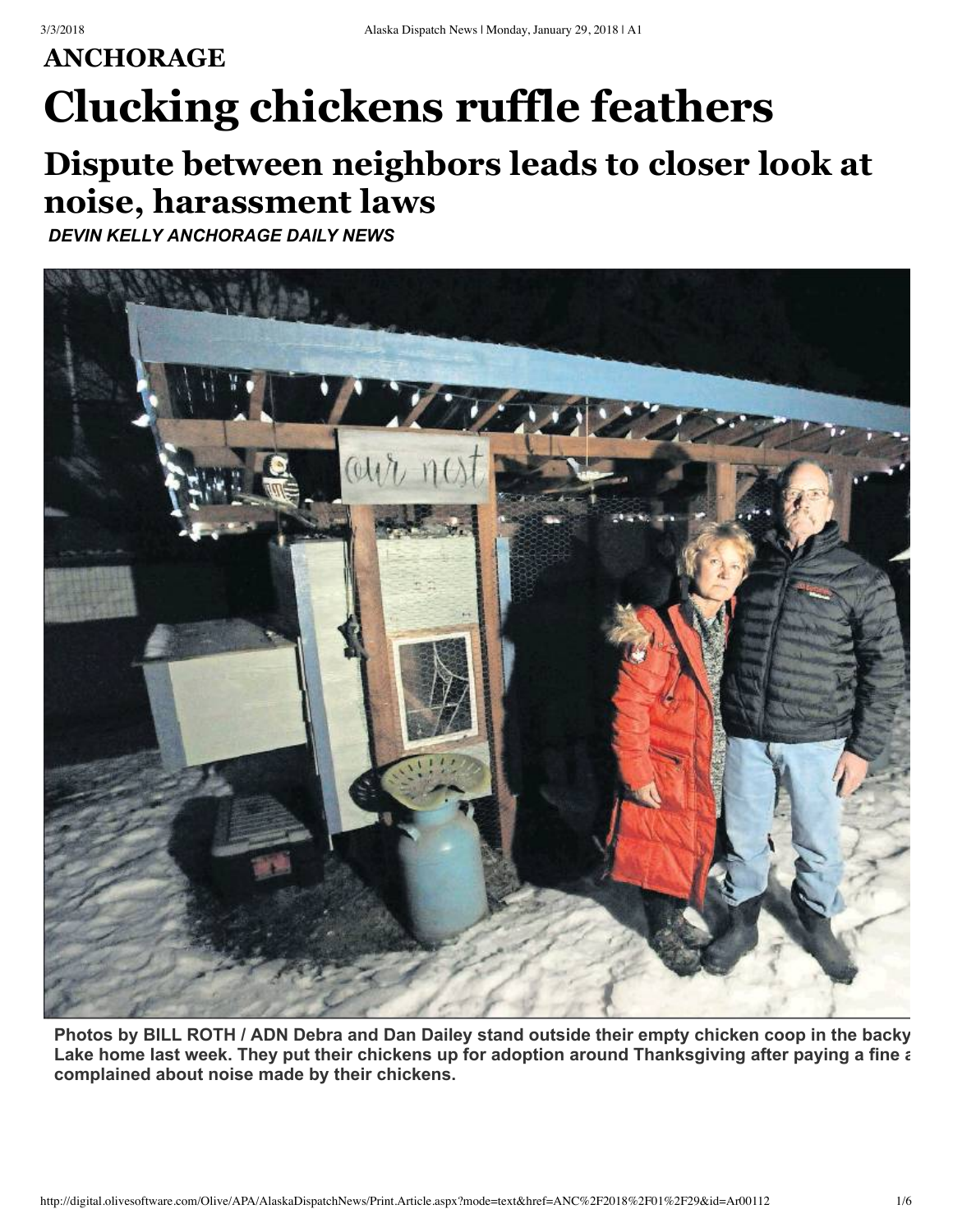## **ANCHORAGE Clucking chickens ruffle feathers**

## **Dispute between neighbors leads to closer look at noise, harassment laws**

*DEVIN KELLY ANCHORAGE DAILY NEWS*



Photos by BILL ROTH / ADN Debra and Dan Dailey stand outside their empty chicken coop in the backy Lake home last week. They put their chickens up for adoption around Thanksgiving after paying a fine a **complained about noise made by their chickens.**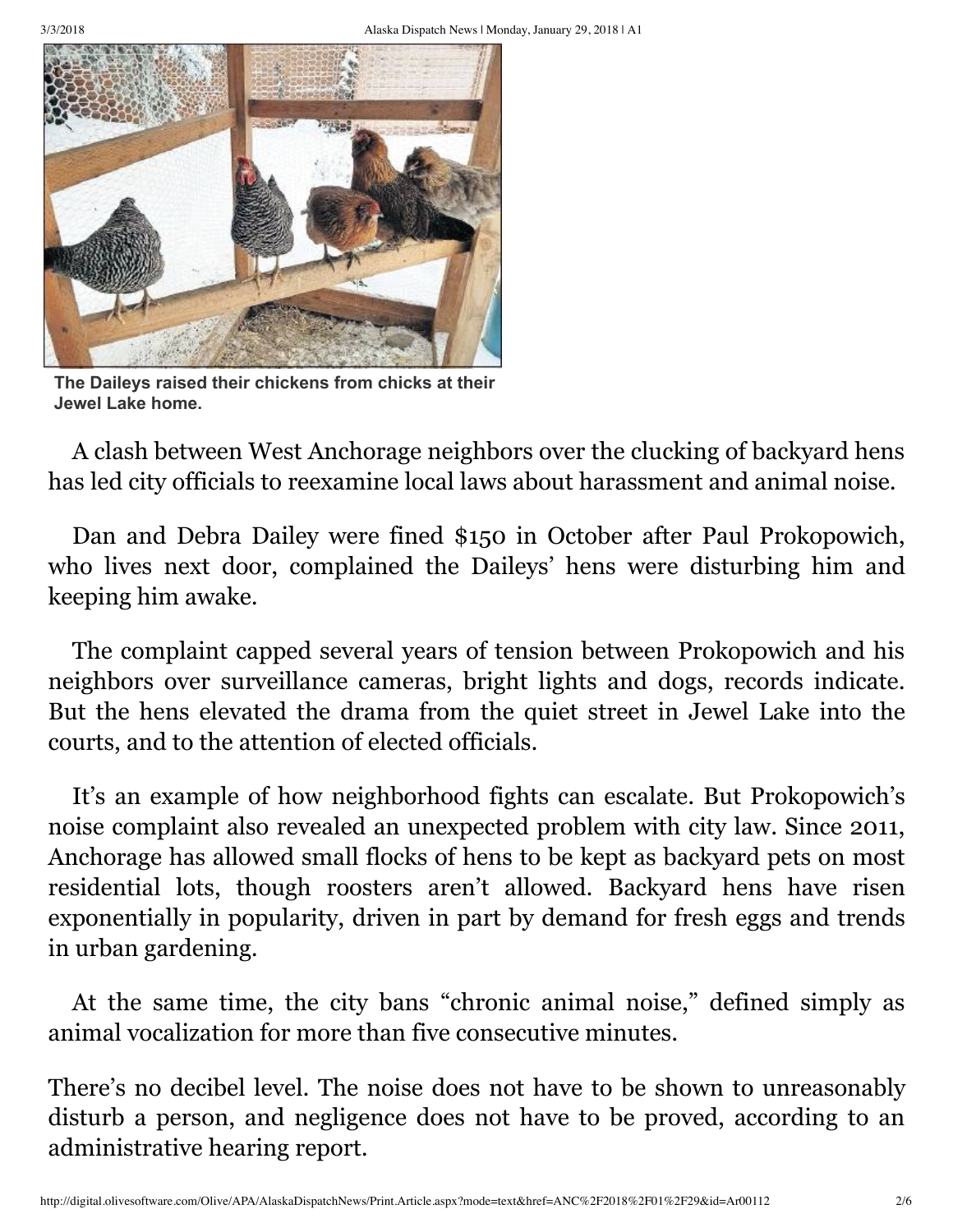

**The Daileys raised their chickens from chicks at their Jewel Lake home.**

A clash between West Anchorage neighbors over the clucking of backyard hens has led city officials to reexamine local laws about harassment and animal noise.

Dan and Debra Dailey were fined \$150 in October after Paul Prokopowich, who lives next door, complained the Daileys' hens were disturbing him and keeping him awake.

The complaint capped several years of tension between Prokopowich and his neighbors over surveillance cameras, bright lights and dogs, records indicate. But the hens elevated the drama from the quiet street in Jewel Lake into the courts, and to the attention of elected officials.

It's an example of how neighborhood fights can escalate. But Prokopowich's noise complaint also revealed an unexpected problem with city law. Since 2011, Anchorage has allowed small flocks of hens to be kept as backyard pets on most residential lots, though roosters aren't allowed. Backyard hens have risen exponentially in popularity, driven in part by demand for fresh eggs and trends in urban gardening.

At the same time, the city bans "chronic animal noise," defined simply as animal vocalization for more than five consecutive minutes.

There's no decibel level. The noise does not have to be shown to unreasonably disturb a person, and negligence does not have to be proved, according to an administrative hearing report.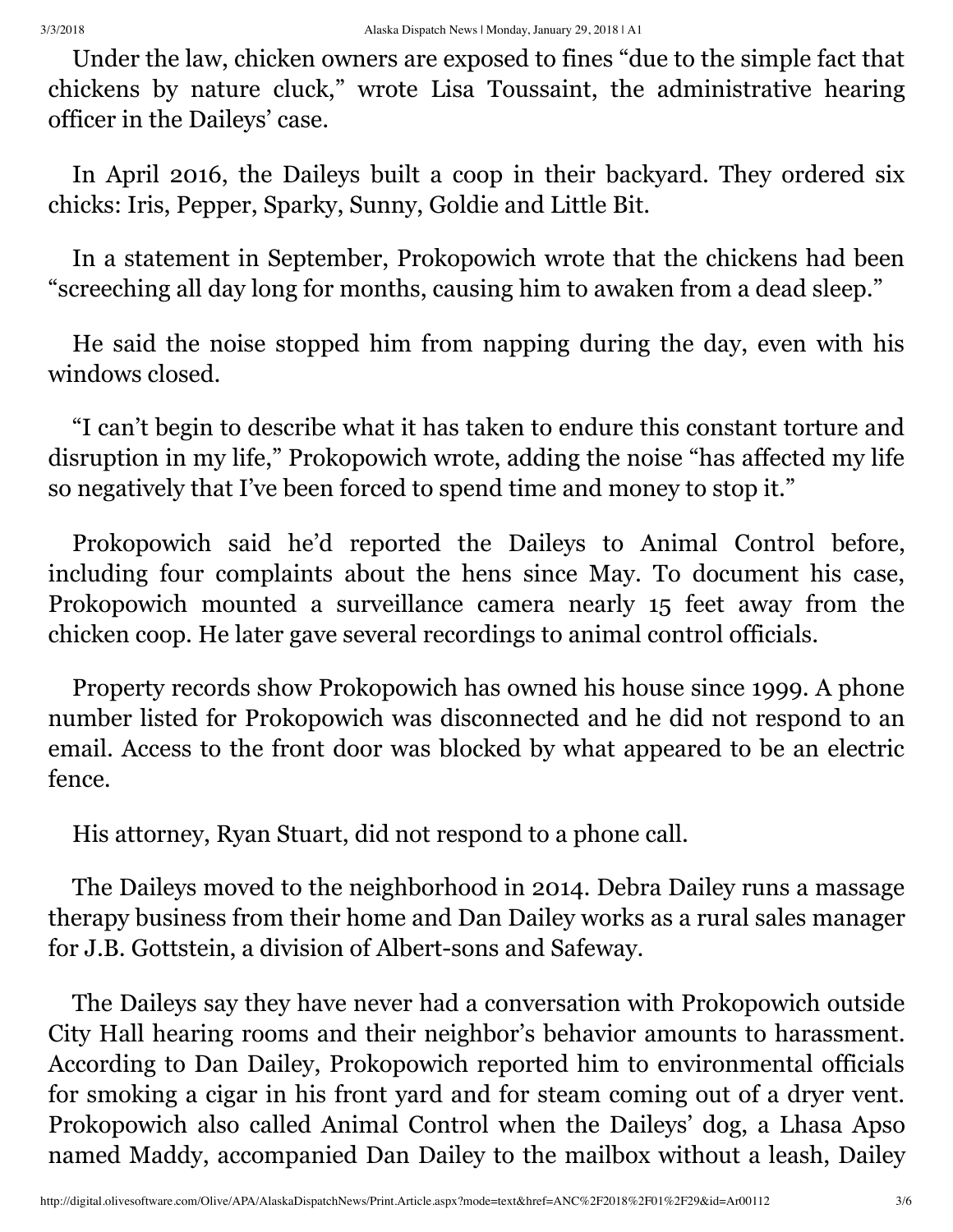Under the law, chicken owners are exposed to fines "due to the simple fact that chickens by nature cluck," wrote Lisa Toussaint, the administrative hearing officer in the Daileys' case.

In April 2016, the Daileys built a coop in their backyard. They ordered six chicks: Iris, Pepper, Sparky, Sunny, Goldie and Little Bit.

In a statement in September, Prokopowich wrote that the chickens had been "screeching all day long for months, causing him to awaken from a dead sleep."

He said the noise stopped him from napping during the day, even with his windows closed.

"I can't begin to describe what it has taken to endure this constant torture and disruption in my life," Prokopowich wrote, adding the noise "has affected my life so negatively that I've been forced to spend time and money to stop it."

Prokopowich said he'd reported the Daileys to Animal Control before, including four complaints about the hens since May. To document his case, Prokopowich mounted a surveillance camera nearly 15 feet away from the chicken coop. He later gave several recordings to animal control officials.

Property records show Prokopowich has owned his house since 1999. A phone number listed for Prokopowich was disconnected and he did not respond to an email. Access to the front door was blocked by what appeared to be an electric fence.

His attorney, Ryan Stuart, did not respond to a phone call.

The Daileys moved to the neighborhood in 2014. Debra Dailey runs a massage therapy business from their home and Dan Dailey works as a rural sales manager for J.B. Gottstein, a division of Albert-sons and Safeway.

The Daileys say they have never had a conversation with Prokopowich outside City Hall hearing rooms and their neighbor's behavior amounts to harassment. According to Dan Dailey, Prokopowich reported him to environmental officials for smoking a cigar in his front yard and for steam coming out of a dryer vent. Prokopowich also called Animal Control when the Daileys' dog, a Lhasa Apso named Maddy, accompanied Dan Dailey to the mailbox without a leash, Dailey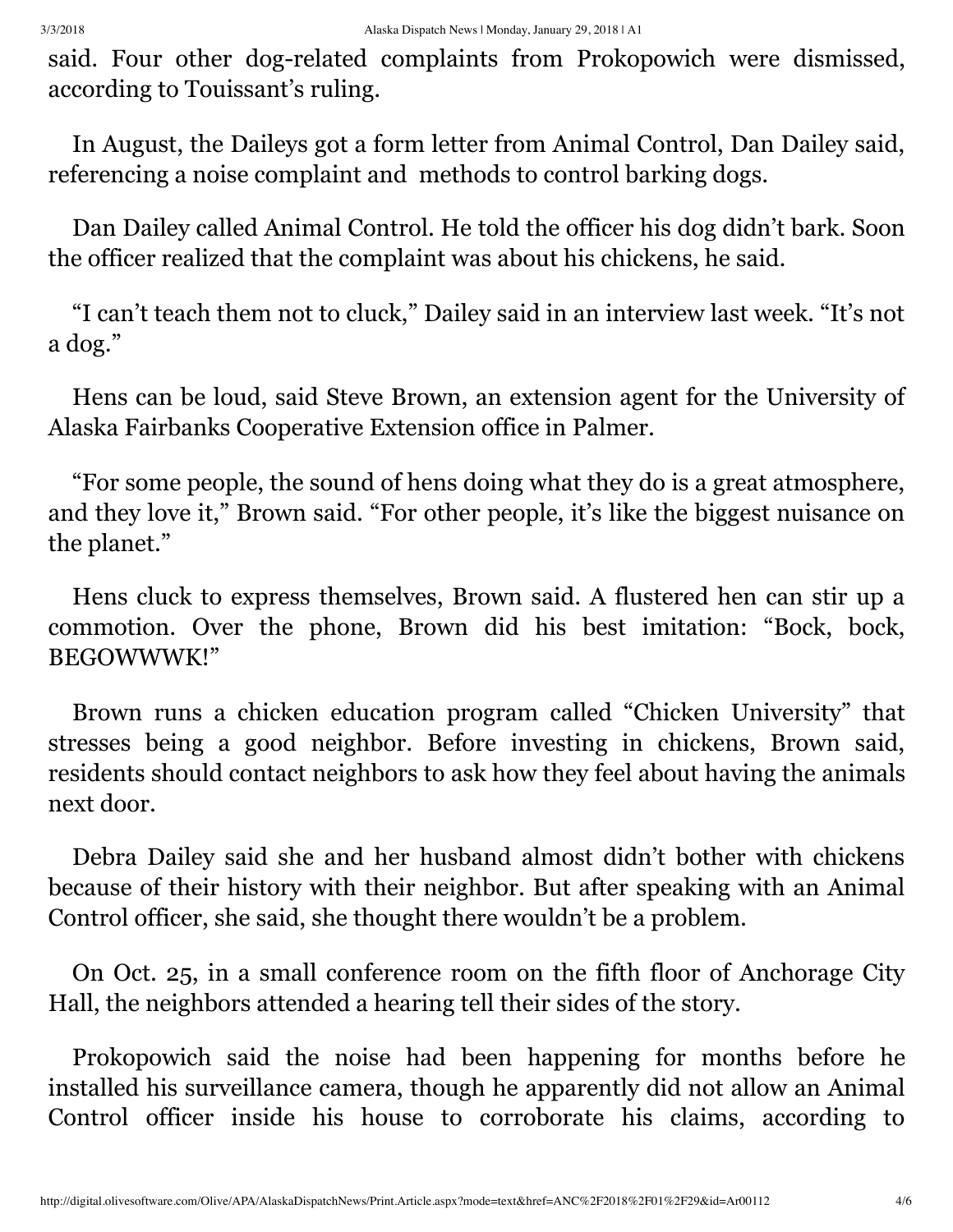said. Four other dog-related complaints from Prokopowich were dismissed, according to Touissant's ruling.

In August, the Daileys got a form letter from Animal Control, Dan Dailey said, referencing a noise complaint and methods to control barking dogs.

Dan Dailey called Animal Control. He told the officer his dog didn't bark. Soon the officer realized that the complaint was about his chickens, he said.

"I can't teach them not to cluck," Dailey said in an interview last week. "It's not a dog."

Hens can be loud, said Steve Brown, an extension agent for the University of Alaska Fairbanks Cooperative Extension office in Palmer.

"For some people, the sound of hens doing what they do is a great atmosphere, and they love it," Brown said. "For other people, it's like the biggest nuisance on the planet."

Hens cluck to express themselves, Brown said. A flustered hen can stir up a commotion. Over the phone, Brown did his best imitation: "Bock, bock, BEGOWWWK!"

Brown runs a chicken education program called "Chicken University" that stresses being a good neighbor. Before investing in chickens, Brown said, residents should contact neighbors to ask how they feel about having the animals next door.

Debra Dailey said she and her husband almost didn't bother with chickens because of their history with their neighbor. But after speaking with an Animal Control officer, she said, she thought there wouldn't be a problem.

On Oct. 25, in a small conference room on the fifth floor of Anchorage City Hall, the neighbors attended a hearing tell their sides of the story.

Prokopowich said the noise had been happening for months before he installed his surveillance camera, though he apparently did not allow an Animal Control officer inside his house to corroborate his claims, according to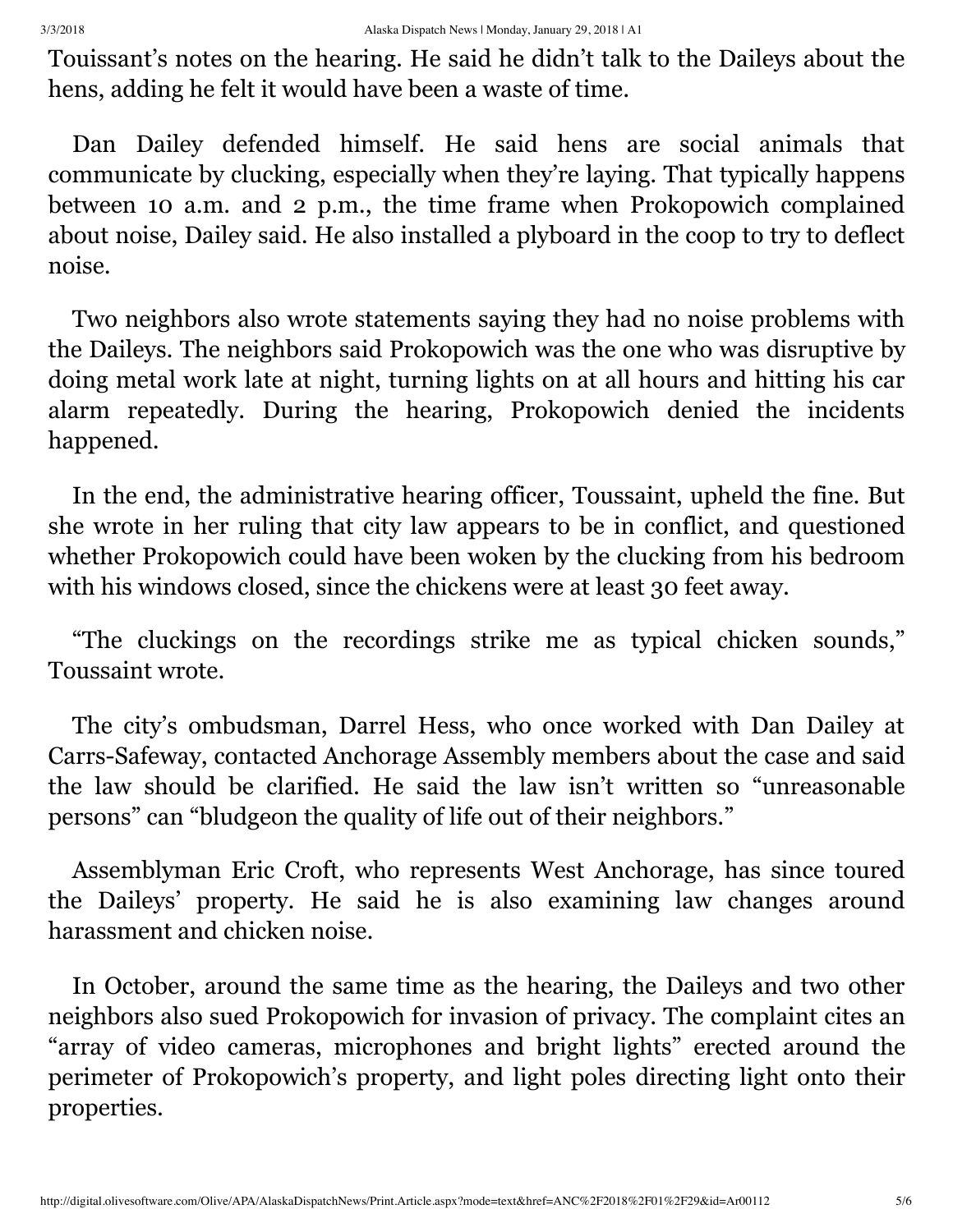Touissant's notes on the hearing. He said he didn't talk to the Daileys about the hens, adding he felt it would have been a waste of time.

Dan Dailey defended himself. He said hens are social animals that communicate by clucking, especially when they're laying. That typically happens between 10 a.m. and 2 p.m., the time frame when Prokopowich complained about noise, Dailey said. He also installed a plyboard in the coop to try to deflect noise.

Two neighbors also wrote statements saying they had no noise problems with the Daileys. The neighbors said Prokopowich was the one who was disruptive by doing metal work late at night, turning lights on at all hours and hitting his car alarm repeatedly. During the hearing, Prokopowich denied the incidents happened.

In the end, the administrative hearing officer, Toussaint, upheld the fine. But she wrote in her ruling that city law appears to be in conflict, and questioned whether Prokopowich could have been woken by the clucking from his bedroom with his windows closed, since the chickens were at least 30 feet away.

"The cluckings on the recordings strike me as typical chicken sounds," Toussaint wrote.

The city's ombudsman, Darrel Hess, who once worked with Dan Dailey at Carrs-Safeway, contacted Anchorage Assembly members about the case and said the law should be clarified. He said the law isn't written so "unreasonable persons" can "bludgeon the quality of life out of their neighbors."

Assemblyman Eric Croft, who represents West Anchorage, has since toured the Daileys' property. He said he is also examining law changes around harassment and chicken noise.

In October, around the same time as the hearing, the Daileys and two other neighbors also sued Prokopowich for invasion of privacy. The complaint cites an "array of video cameras, microphones and bright lights" erected around the perimeter of Prokopowich's property, and light poles directing light onto their properties.